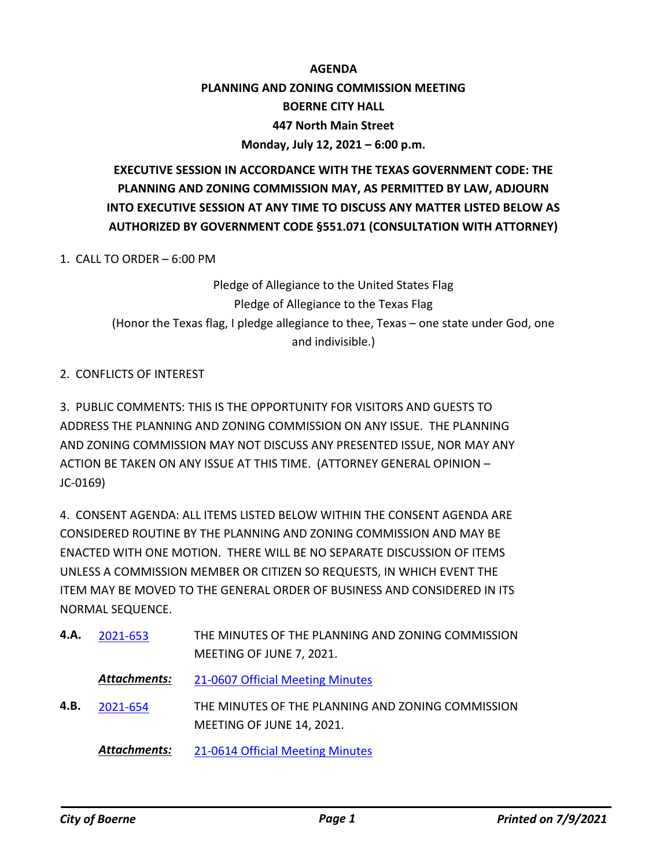# **AGENDA PLANNING AND ZONING COMMISSION MEETING BOERNE CITY HALL 447 North Main Street Monday, July 12, 2021 – 6:00 p.m.**

# **EXECUTIVE SESSION IN ACCORDANCE WITH THE TEXAS GOVERNMENT CODE: THE PLANNING AND ZONING COMMISSION MAY, AS PERMITTED BY LAW, ADJOURN INTO EXECUTIVE SESSION AT ANY TIME TO DISCUSS ANY MATTER LISTED BELOW AS AUTHORIZED BY GOVERNMENT CODE §551.071 (CONSULTATION WITH ATTORNEY)**

1. CALL TO ORDER – 6:00 PM

Pledge of Allegiance to the United States Flag Pledge of Allegiance to the Texas Flag (Honor the Texas flag, I pledge allegiance to thee, Texas – one state under God, one and indivisible.)

### 2. CONFLICTS OF INTEREST

3. PUBLIC COMMENTS: THIS IS THE OPPORTUNITY FOR VISITORS AND GUESTS TO ADDRESS THE PLANNING AND ZONING COMMISSION ON ANY ISSUE. THE PLANNING AND ZONING COMMISSION MAY NOT DISCUSS ANY PRESENTED ISSUE, NOR MAY ANY ACTION BE TAKEN ON ANY ISSUE AT THIS TIME. (ATTORNEY GENERAL OPINION – JC-0169)

4. CONSENT AGENDA: ALL ITEMS LISTED BELOW WITHIN THE CONSENT AGENDA ARE CONSIDERED ROUTINE BY THE PLANNING AND ZONING COMMISSION AND MAY BE ENACTED WITH ONE MOTION. THERE WILL BE NO SEPARATE DISCUSSION OF ITEMS UNLESS A COMMISSION MEMBER OR CITIZEN SO REQUESTS, IN WHICH EVENT THE ITEM MAY BE MOVED TO THE GENERAL ORDER OF BUSINESS AND CONSIDERED IN ITS NORMAL SEQUENCE.

| 4.A. | 2021-653            | THE MINUTES OF THE PLANNING AND ZONING COMMISSION |
|------|---------------------|---------------------------------------------------|
|      |                     | MEETING OF JUNE 7, 2021.                          |
|      | Attachments:        | 21-0607 Official Meeting Minutes                  |
| 4.B. | 2021-654            | THE MINUTES OF THE PLANNING AND ZONING COMMISSION |
|      |                     | MEETING OF JUNE 14, 2021.                         |
|      | <b>Attachments:</b> | 21-0614 Official Meeting Minutes                  |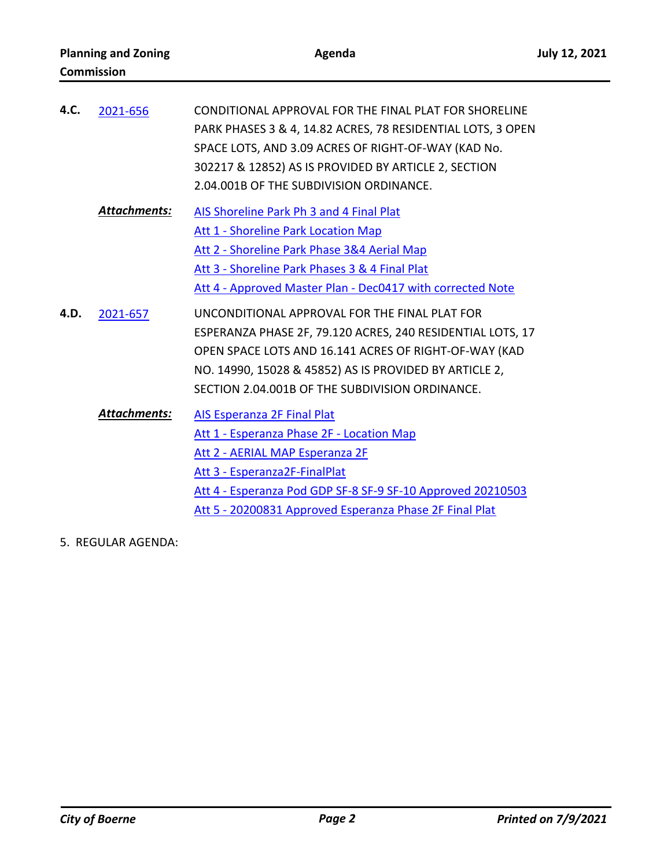| 4.C. | 2021-656            | CONDITIONAL APPROVAL FOR THE FINAL PLAT FOR SHORELINE<br>PARK PHASES 3 & 4, 14.82 ACRES, 78 RESIDENTIAL LOTS, 3 OPEN<br>SPACE LOTS, AND 3.09 ACRES OF RIGHT-OF-WAY (KAD No.<br>302217 & 12852) AS IS PROVIDED BY ARTICLE 2, SECTION<br>2.04.001B OF THE SUBDIVISION ORDINANCE.    |
|------|---------------------|-----------------------------------------------------------------------------------------------------------------------------------------------------------------------------------------------------------------------------------------------------------------------------------|
|      | <b>Attachments:</b> | AIS Shoreline Park Ph 3 and 4 Final Plat<br><b>Att 1 - Shoreline Park Location Map</b><br>Att 2 - Shoreline Park Phase 3&4 Aerial Map<br>Att 3 - Shoreline Park Phases 3 & 4 Final Plat<br>Att 4 - Approved Master Plan - Dec0417 with corrected Note                             |
| 4.D. | 2021-657            | UNCONDITIONAL APPROVAL FOR THE FINAL PLAT FOR<br>ESPERANZA PHASE 2F, 79.120 ACRES, 240 RESIDENTIAL LOTS, 17<br>OPEN SPACE LOTS AND 16.141 ACRES OF RIGHT-OF-WAY (KAD<br>NO. 14990, 15028 & 45852) AS IS PROVIDED BY ARTICLE 2,<br>SECTION 2.04.001B OF THE SUBDIVISION ORDINANCE. |
|      | <b>Attachments:</b> | <b>AIS Esperanza 2F Final Plat</b><br>Att 1 - Esperanza Phase 2F - Location Map<br>Att 2 - AERIAL MAP Esperanza 2F<br>Att 3 - Esperanza2F-FinalPlat<br>Att 4 - Esperanza Pod GDP SF-8 SF-9 SF-10 Approved 20210503<br>Att 5 - 20200831 Approved Esperanza Phase 2F Final Plat     |

5. REGULAR AGENDA: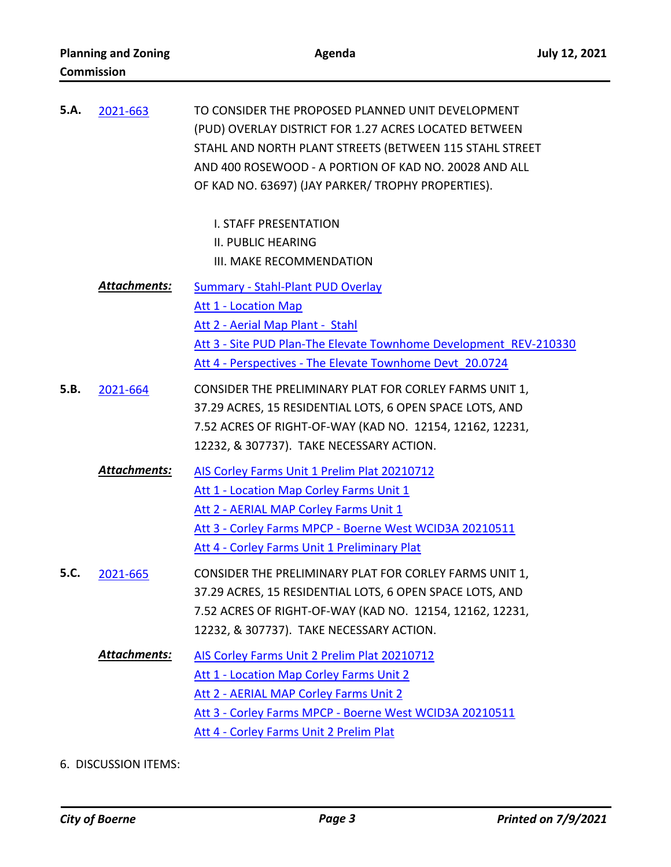| 5.A. | 2021-663     | TO CONSIDER THE PROPOSED PLANNED UNIT DEVELOPMENT<br>(PUD) OVERLAY DISTRICT FOR 1.27 ACRES LOCATED BETWEEN<br>STAHL AND NORTH PLANT STREETS (BETWEEN 115 STAHL STREET<br>AND 400 ROSEWOOD - A PORTION OF KAD NO. 20028 AND ALL<br>OF KAD NO. 63697) (JAY PARKER/ TROPHY PROPERTIES). |
|------|--------------|--------------------------------------------------------------------------------------------------------------------------------------------------------------------------------------------------------------------------------------------------------------------------------------|
|      |              | <b>I. STAFF PRESENTATION</b><br><b>II. PUBLIC HEARING</b>                                                                                                                                                                                                                            |
|      |              | III. MAKE RECOMMENDATION                                                                                                                                                                                                                                                             |
|      | Attachments: | <b>Summary - Stahl-Plant PUD Overlay</b>                                                                                                                                                                                                                                             |
|      |              | <b>Att 1 - Location Map</b>                                                                                                                                                                                                                                                          |
|      |              | Att 2 - Aerial Map Plant - Stahl<br>Att 3 - Site PUD Plan-The Elevate Townhome Development REV-210330                                                                                                                                                                                |
|      |              | Att 4 - Perspectives - The Elevate Townhome Devt 20.0724                                                                                                                                                                                                                             |
| 5.B. | 2021-664     | CONSIDER THE PRELIMINARY PLAT FOR CORLEY FARMS UNIT 1,                                                                                                                                                                                                                               |
|      |              | 37.29 ACRES, 15 RESIDENTIAL LOTS, 6 OPEN SPACE LOTS, AND                                                                                                                                                                                                                             |
|      |              | 7.52 ACRES OF RIGHT-OF-WAY (KAD NO. 12154, 12162, 12231,                                                                                                                                                                                                                             |
|      |              | 12232, & 307737). TAKE NECESSARY ACTION.                                                                                                                                                                                                                                             |
|      | Attachments: | AIS Corley Farms Unit 1 Prelim Plat 20210712                                                                                                                                                                                                                                         |
|      |              | Att 1 - Location Map Corley Farms Unit 1                                                                                                                                                                                                                                             |
|      |              | Att 2 - AERIAL MAP Corley Farms Unit 1                                                                                                                                                                                                                                               |
|      |              | Att 3 - Corley Farms MPCP - Boerne West WCID3A 20210511                                                                                                                                                                                                                              |
|      |              | Att 4 - Corley Farms Unit 1 Preliminary Plat                                                                                                                                                                                                                                         |
| 5.C. | 2021-665     | CONSIDER THE PRELIMINARY PLAT FOR CORLEY FARMS UNIT 1,                                                                                                                                                                                                                               |
|      |              | 37.29 ACRES, 15 RESIDENTIAL LOTS, 6 OPEN SPACE LOTS, AND                                                                                                                                                                                                                             |
|      |              | 7.52 ACRES OF RIGHT-OF-WAY (KAD NO. 12154, 12162, 12231,                                                                                                                                                                                                                             |
|      |              | 12232, & 307737). TAKE NECESSARY ACTION.                                                                                                                                                                                                                                             |
|      | Attachments: | AIS Corley Farms Unit 2 Prelim Plat 20210712                                                                                                                                                                                                                                         |
|      |              | Att 1 - Location Map Corley Farms Unit 2                                                                                                                                                                                                                                             |
|      |              | Att 2 - AERIAL MAP Corley Farms Unit 2                                                                                                                                                                                                                                               |
|      |              | Att 3 - Corley Farms MPCP - Boerne West WCID3A 20210511                                                                                                                                                                                                                              |
|      |              | Att 4 - Corley Farms Unit 2 Prelim Plat                                                                                                                                                                                                                                              |

6. DISCUSSION ITEMS: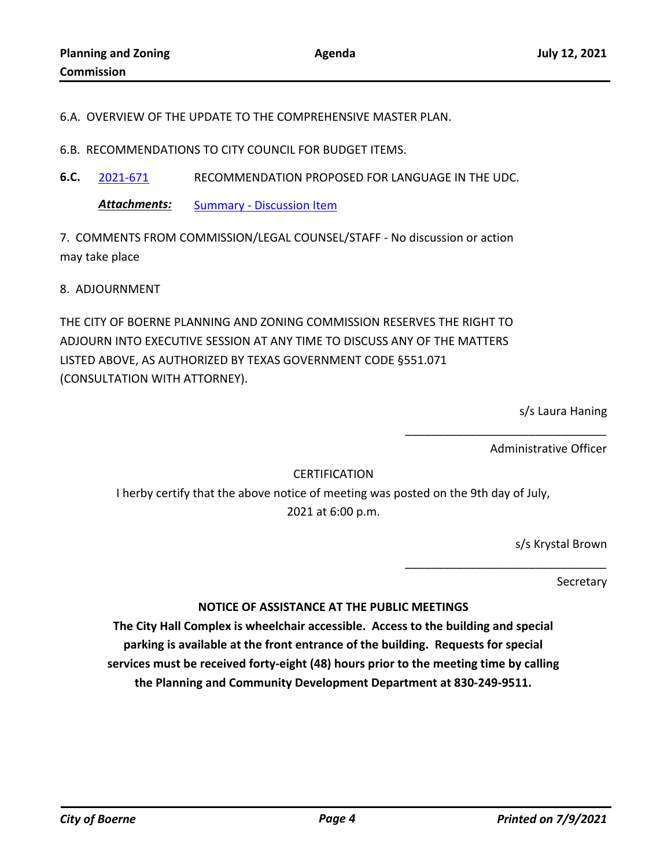6.A. OVERVIEW OF THE UPDATE TO THE COMPREHENSIVE MASTER PLAN.

6.B. RECOMMENDATIONS TO CITY COUNCIL FOR BUDGET ITEMS.

**6.C.** [2021-671](http://boerne.legistar.com/gateway.aspx?m=l&id=/matter.aspx?key=6109) RECOMMENDATION PROPOSED FOR LANGUAGE IN THE UDC.

**Attachments:** [Summary - Discussion Item](http://boerne.legistar.com/gateway.aspx?M=F&ID=113d4b9d-abc5-49d1-ab2e-3dd168aee2a3.doc)

7. COMMENTS FROM COMMISSION/LEGAL COUNSEL/STAFF - No discussion or action may take place

8. ADJOURNMENT

THE CITY OF BOERNE PLANNING AND ZONING COMMISSION RESERVES THE RIGHT TO ADJOURN INTO EXECUTIVE SESSION AT ANY TIME TO DISCUSS ANY OF THE MATTERS LISTED ABOVE, AS AUTHORIZED BY TEXAS GOVERNMENT CODE §551.071 (CONSULTATION WITH ATTORNEY).

s/s Laura Haning

Administrative Officer

\_\_\_\_\_\_\_\_\_\_\_\_\_\_\_\_\_\_\_\_\_\_\_\_\_\_\_\_\_\_\_

\_\_\_\_\_\_\_\_\_\_\_\_\_\_\_\_\_\_\_\_\_\_\_\_\_\_\_\_\_\_\_

### **CERTIFICATION**

I herby certify that the above notice of meeting was posted on the 9th day of July, 2021 at 6:00 p.m.

s/s Krystal Brown

**Secretary** 

#### **NOTICE OF ASSISTANCE AT THE PUBLIC MEETINGS**

**The City Hall Complex is wheelchair accessible. Access to the building and special parking is available at the front entrance of the building. Requests for special services must be received forty-eight (48) hours prior to the meeting time by calling the Planning and Community Development Department at 830-249-9511.**